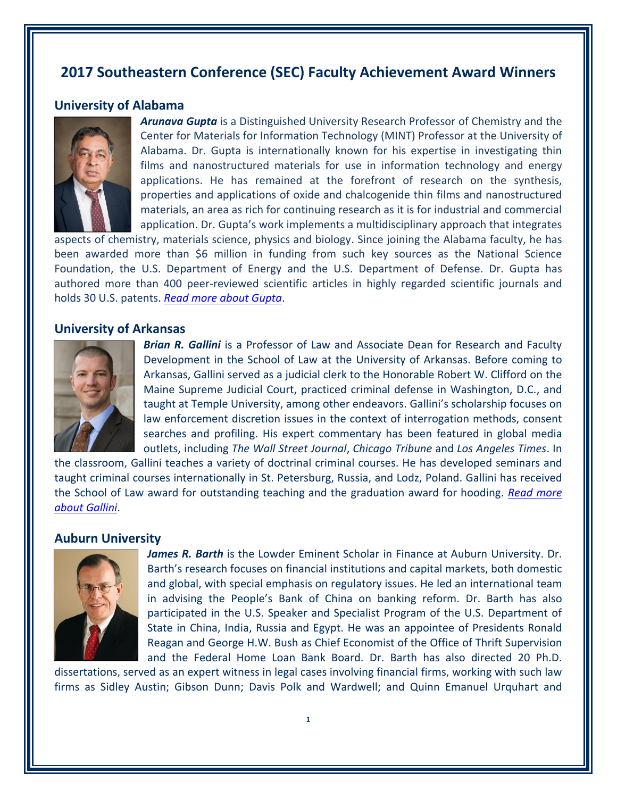# **2017 Southeastern Conference (SEC) Faculty Achievement Award Winners**

# **University of Alabama**



*Arunava Gupta* is a Distinguished University Research Professor of Chemistry and the Center for Materials for Information Technology (MINT) Professor at the University of Alabama. Dr. Gupta is internationally known for his expertise in investigating thin films and nanostructured materials for use in information technology and energy applications. He has remained at the forefront of research on the synthesis, properties and applications of oxide and chalcogenide thin films and nanostructured materials, an area as rich for continuing research as it is for industrial and commercial application. Dr. Gupta's work implements a multidisciplinary approach that integrates

aspects of chemistry, materials science, physics and biology. Since joining the Alabama faculty, he has been awarded more than \$6 million in funding from such key sources as the National Science Foundation, the U.S. Department of Energy and the U.S. Department of Defense. Dr. Gupta has authored more than 400 peer-reviewed scientific articles in highly regarded scientific journals and holds 30 U.S. patents. *[Read more about Gupta](https://chemistry.ua.edu/faculty_profiles/arunava-gupta/)*.

## **University of Arkansas**



*Brian R. Gallini* is a Professor of Law and Associate Dean for Research and Faculty Development in the School of Law at the University of Arkansas. Before coming to Arkansas, Gallini served as a judicial clerk to the Honorable Robert W. Clifford on the Maine Supreme Judicial Court, practiced criminal defense in Washington, D.C., and taught at Temple University, among other endeavors. Gallini's scholarship focuses on law enforcement discretion issues in the context of interrogation methods, consent searches and profiling. His expert commentary has been featured in global media outlets, including *The Wall Street Journal*, *Chicago Tribune* and *Los Angeles Times*. In

the classroom, Gallini teaches a variety of doctrinal criminal courses. He has developed seminars and taught criminal courses internationally in St. Petersburg, Russia, and Lodz, Poland. Gallini has received the School of Law award for outstanding teaching and the graduation award for hooding. *[Read more](https://law.uark.edu/directory/directory-profile.php?Uid=bgallini)  [about Gallini](https://law.uark.edu/directory/directory-profile.php?Uid=bgallini)*.

# **Auburn University**



*James R. Barth* is the Lowder Eminent Scholar in Finance at Auburn University. Dr. Barth's research focuses on financial institutions and capital markets, both domestic and global, with special emphasis on regulatory issues. He led an international team in advising the People's Bank of China on banking reform. Dr. Barth has also participated in the U.S. Speaker and Specialist Program of the U.S. Department of State in China, India, Russia and Egypt. He was an appointee of Presidents Ronald Reagan and George H.W. Bush as Chief Economist of the Office of Thrift Supervision and the Federal Home Loan Bank Board. Dr. Barth has also directed 20 Ph.D.

dissertations, served as an expert witness in legal cases involving financial firms, working with such law firms as Sidley Austin; Gibson Dunn; Davis Polk and Wardwell; and Quinn Emanuel Urquhart and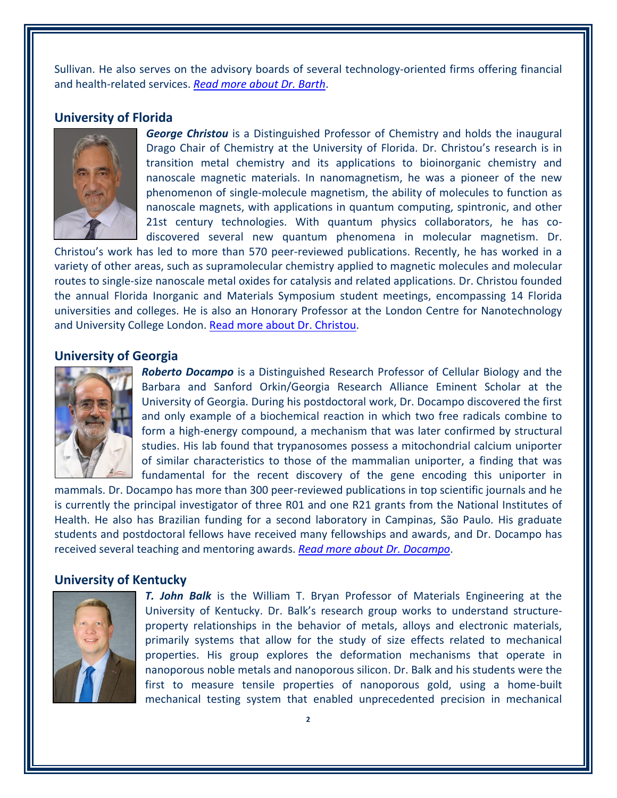Sullivan. He also serves on the advisory boards of several technology-oriented firms offering financial and health-related services. *[Read more about Dr. Barth](http://harbert.auburn.edu/~barthjr/)*.

# **University of Florida**



*George Christou* is a Distinguished Professor of Chemistry and holds the inaugural Drago Chair of Chemistry at the University of Florida. Dr. Christou's research is in transition metal chemistry and its applications to bioinorganic chemistry and nanoscale magnetic materials. In nanomagnetism, he was a pioneer of the new phenomenon of single-molecule magnetism, the ability of molecules to function as nanoscale magnets, with applications in quantum computing, spintronic, and other 21st century technologies. With quantum physics collaborators, he has codiscovered several new quantum phenomena in molecular magnetism. Dr.

Christou's work has led to more than 570 peer-reviewed publications. Recently, he has worked in a variety of other areas, such as supramolecular chemistry applied to magnetic molecules and molecular routes to single-size nanoscale metal oxides for catalysis and related applications. Dr. Christou founded the annual Florida Inorganic and Materials Symposium student meetings, encompassing 14 Florida universities and colleges. He is also an Honorary Professor at the London Centre for Nanotechnology and University College London. [Read more about Dr. Christou.](https://christou.chem.ufl.edu/)

### **University of Georgia**



*Roberto Docampo* is a Distinguished Research Professor of Cellular Biology and the Barbara and Sanford Orkin/Georgia Research Alliance Eminent Scholar at the University of Georgia. During his postdoctoral work, Dr. Docampo discovered the first and only example of a biochemical reaction in which two free radicals combine to form a high-energy compound, a mechanism that was later confirmed by structural studies. His lab found that trypanosomes possess a mitochondrial calcium uniporter of similar characteristics to those of the mammalian uniporter, a finding that was fundamental for the recent discovery of the gene encoding this uniporter in

mammals. Dr. Docampo has more than 300 peer-reviewed publications in top scientific journals and he is currently the principal investigator of three R01 and one R21 grants from the National Institutes of Health. He also has Brazilian funding for a second laboratory in Campinas, São Paulo. His graduate students and postdoctoral fellows have received many fellowships and awards, and Dr. Docampo has received several teaching and mentoring awards. *[Read more about Dr. Docampo](http://cellbio.uga.edu/directory/faculty/roberto-docampo)*.

#### **University of Kentucky**



*T. John Balk* is the William T. Bryan Professor of Materials Engineering at the University of Kentucky. Dr. Balk's research group works to understand structureproperty relationships in the behavior of metals, alloys and electronic materials, primarily systems that allow for the study of size effects related to mechanical properties. His group explores the deformation mechanisms that operate in nanoporous noble metals and nanoporous silicon. Dr. Balk and his students were the first to measure tensile properties of nanoporous gold, using a home-built mechanical testing system that enabled unprecedented precision in mechanical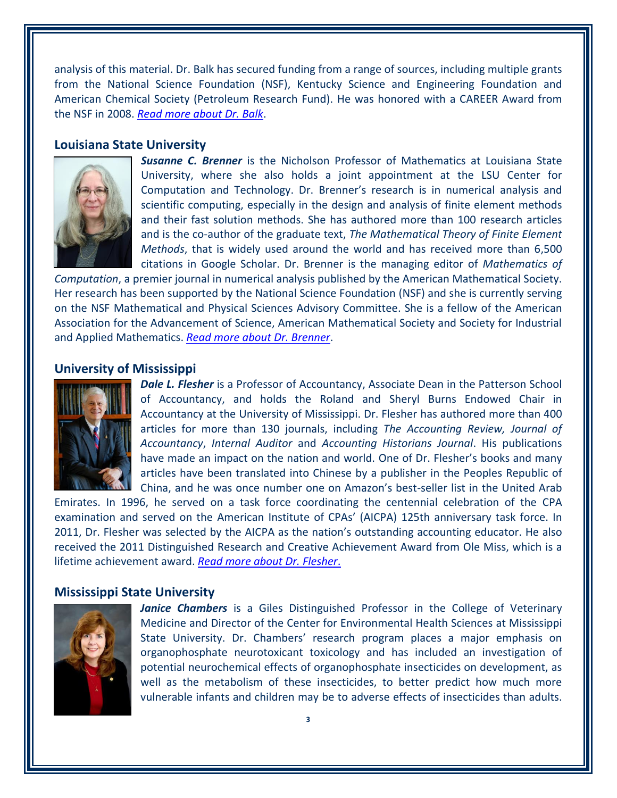analysis of this material. Dr. Balk has secured funding from a range of sources, including multiple grants from the National Science Foundation (NSF), Kentucky Science and Engineering Foundation and American Chemical Society (Petroleum Research Fund). He was honored with a CAREER Award from the NSF in 2008. *[Read more about Dr. Balk](https://www.engr.uky.edu/research/researchers/thomas-john-balk/)*.

#### **Louisiana State University**



*Susanne C. Brenner* is the Nicholson Professor of Mathematics at Louisiana State University, where she also holds a joint appointment at the LSU Center for Computation and Technology. Dr. Brenner's research is in numerical analysis and scientific computing, especially in the design and analysis of finite element methods and their fast solution methods. She has authored more than 100 research articles and is the co-author of the graduate text, *The Mathematical Theory of Finite Element Methods*, that is widely used around the world and has received more than 6,500 citations in Google Scholar. Dr. Brenner is the managing editor of *Mathematics of*

*Computation*, a premier journal in numerical analysis published by the American Mathematical Society. Her research has been supported by the National Science Foundation (NSF) and she is currently serving on the NSF Mathematical and Physical Sciences Advisory Committee. She is a fellow of the American Association for the Advancement of Science, American Mathematical Society and Society for Industrial and Applied Mathematics. *[Read more about Dr.](https://www.math.lsu.edu/~brenner/) Brenner*.

#### **University of Mississippi**



**Dale L. Flesher** is a Professor of Accountancy, Associate Dean in the Patterson School of Accountancy, and holds the Roland and Sheryl Burns Endowed Chair in Accountancy at the University of Mississippi. Dr. Flesher has authored more than 400 articles for more than 130 journals, including *The Accounting Review, Journal of Accountancy*, *Internal Auditor* and *Accounting Historians Journal*. His publications have made an impact on the nation and world. One of Dr. Flesher's books and many articles have been translated into Chinese by a publisher in the Peoples Republic of China, and he was once number one on Amazon's best-seller list in the United Arab

Emirates. In 1996, he served on a task force coordinating the centennial celebration of the CPA examination and served on the American Institute of CPAs' (AICPA) 125th anniversary task force. In 2011, Dr. Flesher was selected by the AICPA as the nation's outstanding accounting educator. He also received the 2011 Distinguished Research and Creative Achievement Award from Ole Miss, which is a lifetime achievement award. *[Read more about Dr. Flesher](http://www.olemiss.edu/people/acdlf)*.

## **Mississippi State University**



*Janice Chambers* is a Giles Distinguished Professor in the College of Veterinary Medicine and Director of the Center for Environmental Health Sciences at Mississippi State University. Dr. Chambers' research program places a major emphasis on organophosphate neurotoxicant toxicology and has included an investigation of potential neurochemical effects of organophosphate insecticides on development, as well as the metabolism of these insecticides, to better predict how much more vulnerable infants and children may be to adverse effects of insecticides than adults.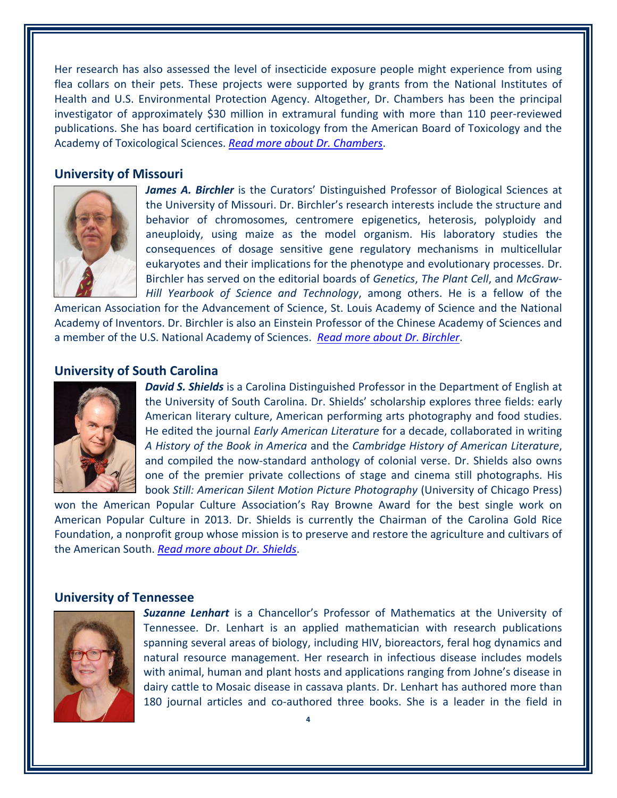Her research has also assessed the level of insecticide exposure people might experience from using flea collars on their pets. These projects were supported by grants from the National Institutes of Health and U.S. Environmental Protection Agency. Altogether, Dr. Chambers has been the principal investigator of approximately \$30 million in extramural funding with more than 110 peer-reviewed publications. She has board certification in toxicology from the American Board of Toxicology and the Academy of Toxicological Sciences. *[Read more about](http://www.cvm.msstate.edu/academics/departments-centers/basic-sciences/27-faculty-bio/faculty-basic-sciences/145-janice-e-chambers) Dr. Chambers*.

# **University of Missouri**



James A. Birchler is the Curators' Distinguished Professor of Biological Sciences at the University of Missouri. Dr. Birchler's research interests include the structure and behavior of chromosomes, centromere epigenetics, heterosis, polyploidy and aneuploidy, using maize as the model organism. His laboratory studies the consequences of dosage sensitive gene regulatory mechanisms in multicellular eukaryotes and their implications for the phenotype and evolutionary processes. Dr. Birchler has served on the editorial boards of *Genetics*, *The Plant Cell*, and *McGraw-Hill Yearbook of Science and Technology*, among others. He is a fellow of the

American Association for the Advancement of Science, St. Louis Academy of Science and the National Academy of Inventors. Dr. Birchler is also an Einstein Professor of the Chinese Academy of Sciences and a member of the U.S. National Academy of Sciences. *[Read more about Dr. Birchler](https://ipg.missouri.edu/faculty/birchler.cfm)*.

# **University of South Carolina**



*David S. Shields* is a Carolina Distinguished Professor in the Department of English at the University of South Carolina. Dr. Shields' scholarship explores three fields: early American literary culture, American performing arts photography and food studies. He edited the journal *Early American Literature* for a decade, collaborated in writing *A History of the Book in America* and the *Cambridge History of American Literature*, and compiled the now-standard anthology of colonial verse. Dr. Shields also owns one of the premier private collections of stage and cinema still photographs. His book *Still: American Silent Motion Picture Photography* (University of Chicago Press)

won the American Popular Culture Association's Ray Browne Award for the best single work on American Popular Culture in 2013. Dr. Shields is currently the Chairman of the Carolina Gold Rice Foundation, a nonprofit group whose mission is to preserve and restore the agriculture and cultivars of the American South. *[Read more about Dr. Shields](http://people.cas.sc.edu/dshields/)*.

# **University of Tennessee**



*Suzanne Lenhart* is a Chancellor's Professor of Mathematics at the University of Tennessee. Dr. Lenhart is an applied mathematician with research publications spanning several areas of biology, including HIV, bioreactors, feral hog dynamics and natural resource management. Her research in infectious disease includes models with animal, human and plant hosts and applications ranging from Johne's disease in dairy cattle to Mosaic disease in cassava plants. Dr. Lenhart has authored more than 180 journal articles and co-authored three books. She is a leader in the field in